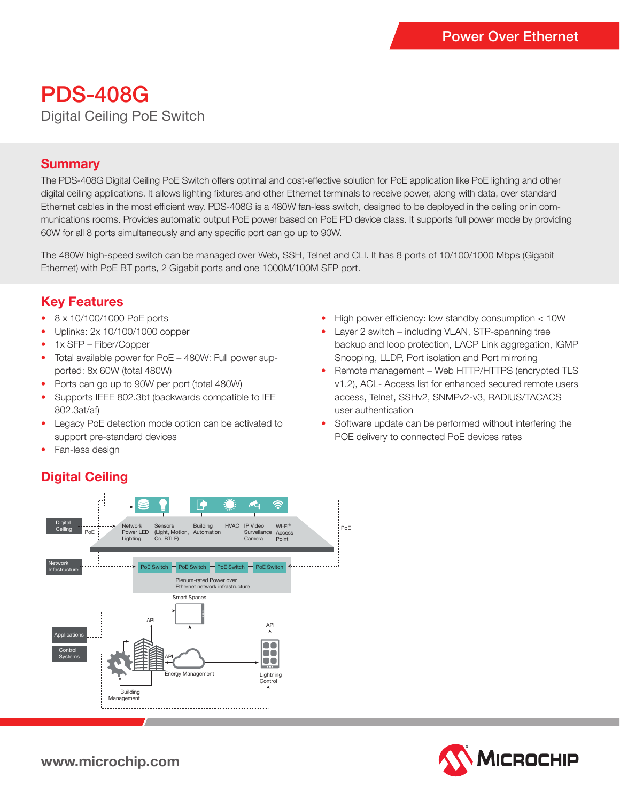# PDS-408G Digital Ceiling PoE Switch

### **Summary**

The PDS-408G Digital Ceiling PoE Switch offers optimal and cost-effective solution for PoE application like PoE lighting and other digital ceiling applications. It allows lighting fixtures and other Ethernet terminals to receive power, along with data, over standard Ethernet cables in the most efficient way. PDS-408G is a 480W fan-less switch, designed to be deployed in the ceiling or in communications rooms. Provides automatic output PoE power based on PoE PD device class. It supports full power mode by providing 60W for all 8 ports simultaneously and any specific port can go up to 90W.

The 480W high-speed switch can be managed over Web, SSH, Telnet and CLI. It has 8 ports of 10/100/1000 Mbps (Gigabit Ethernet) with PoE BT ports, 2 Gigabit ports and one 1000M/100M SFP port.

### **Key Features**

- 8 x 10/100/1000 PoE ports
- Uplinks: 2x 10/100/1000 copper
- 1x SFP Fiber/Copper
- Total available power for PoE 480W: Full power supported: 8x 60W (total 480W)
- Ports can go up to 90W per port (total 480W)
- Supports IEEE 802.3bt (backwards compatible to IEE 802.3at/af)
- Legacy PoE detection mode option can be activated to support pre-standard devices
- Fan-less design

### **Digital Ceiling**



- High power efficiency: low standby consumption < 10W
- Layer 2 switch including VLAN, STP-spanning tree backup and loop protection, LACP Link aggregation, IGMP Snooping, LLDP, Port isolation and Port mirroring
- Remote management Web HTTP/HTTPS (encrypted TLS v1.2), ACL- Access list for enhanced secured remote users access, Telnet, SSHv2, SNMPv2-v3, RADIUS/TACACS user authentication
- Software update can be performed without interfering the POE delivery to connected PoE devices rates



**www.microchip.com**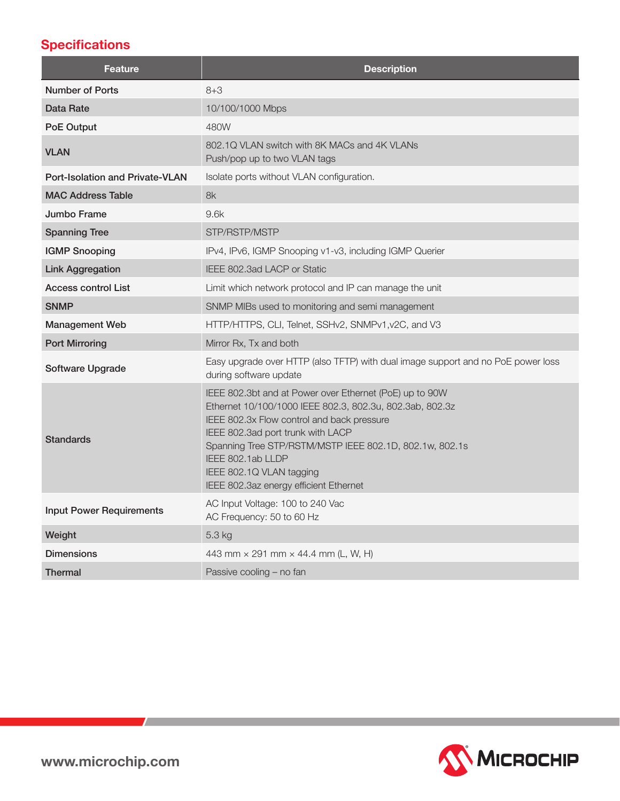## **Specifications**

| <b>Feature</b>                         | <b>Description</b>                                                                                                                                                                                                                                                                                                                                           |  |
|----------------------------------------|--------------------------------------------------------------------------------------------------------------------------------------------------------------------------------------------------------------------------------------------------------------------------------------------------------------------------------------------------------------|--|
| Number of Ports                        | $8 + 3$                                                                                                                                                                                                                                                                                                                                                      |  |
| Data Rate                              | 10/100/1000 Mbps                                                                                                                                                                                                                                                                                                                                             |  |
| PoE Output                             | 480W                                                                                                                                                                                                                                                                                                                                                         |  |
| <b>VLAN</b>                            | 802.1Q VLAN switch with 8K MACs and 4K VLANs<br>Push/pop up to two VLAN tags                                                                                                                                                                                                                                                                                 |  |
| <b>Port-Isolation and Private-VLAN</b> | Isolate ports without VLAN configuration.                                                                                                                                                                                                                                                                                                                    |  |
| <b>MAC Address Table</b>               | 8k                                                                                                                                                                                                                                                                                                                                                           |  |
| Jumbo Frame                            | 9.6k                                                                                                                                                                                                                                                                                                                                                         |  |
| <b>Spanning Tree</b>                   | STP/RSTP/MSTP                                                                                                                                                                                                                                                                                                                                                |  |
| <b>IGMP Snooping</b>                   | IPv4, IPv6, IGMP Snooping v1-v3, including IGMP Querier                                                                                                                                                                                                                                                                                                      |  |
| <b>Link Aggregation</b>                | IEEE 802.3ad LACP or Static                                                                                                                                                                                                                                                                                                                                  |  |
| <b>Access control List</b>             | Limit which network protocol and IP can manage the unit                                                                                                                                                                                                                                                                                                      |  |
| <b>SNMP</b>                            | SNMP MIBs used to monitoring and semi management                                                                                                                                                                                                                                                                                                             |  |
| <b>Management Web</b>                  | HTTP/HTTPS, CLI, Telnet, SSHv2, SNMPv1, v2C, and V3                                                                                                                                                                                                                                                                                                          |  |
| <b>Port Mirroring</b>                  | Mirror Rx, Tx and both                                                                                                                                                                                                                                                                                                                                       |  |
| Software Upgrade                       | Easy upgrade over HTTP (also TFTP) with dual image support and no PoE power loss<br>during software update                                                                                                                                                                                                                                                   |  |
| <b>Standards</b>                       | IEEE 802.3bt and at Power over Ethernet (PoE) up to 90W<br>Ethernet 10/100/1000 IEEE 802.3, 802.3u, 802.3ab, 802.3z<br>IEEE 802.3x Flow control and back pressure<br>IEEE 802.3ad port trunk with LACP<br>Spanning Tree STP/RSTM/MSTP IEEE 802.1D, 802.1w, 802.1s<br>IEEE 802.1ab LLDP<br>IEEE 802.1Q VLAN tagging<br>IEEE 802.3az energy efficient Ethernet |  |
| <b>Input Power Requirements</b>        | AC Input Voltage: 100 to 240 Vac<br>AC Frequency: 50 to 60 Hz                                                                                                                                                                                                                                                                                                |  |
| Weight                                 | 5.3 kg                                                                                                                                                                                                                                                                                                                                                       |  |
| <b>Dimensions</b>                      | 443 mm × 291 mm × 44.4 mm (L, W, H)                                                                                                                                                                                                                                                                                                                          |  |
| Thermal                                | Passive cooling - no fan                                                                                                                                                                                                                                                                                                                                     |  |